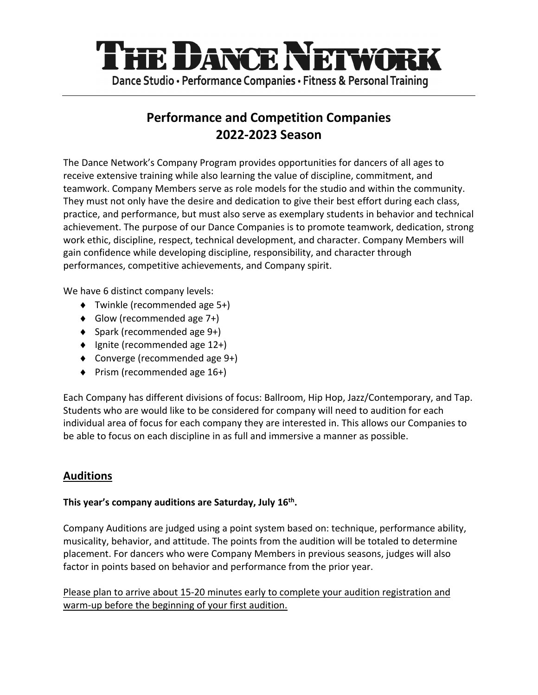

# **Performance and Competition Companies 2022-2023 Season**

The Dance Network's Company Program provides opportunities for dancers of all ages to receive extensive training while also learning the value of discipline, commitment, and teamwork. Company Members serve as role models for the studio and within the community. They must not only have the desire and dedication to give their best effort during each class, practice, and performance, but must also serve as exemplary students in behavior and technical achievement. The purpose of our Dance Companies is to promote teamwork, dedication, strong work ethic, discipline, respect, technical development, and character. Company Members will gain confidence while developing discipline, responsibility, and character through performances, competitive achievements, and Company spirit.

We have 6 distinct company levels:

- $\blacklozenge$  Twinkle (recommended age 5+)
- $\bullet$  Glow (recommended age 7+)
- $\bullet$  Spark (recommended age 9+)
- $\bullet$  Ignite (recommended age 12+)
- $\bullet$  Converge (recommended age 9+)
- $\blacklozenge$  Prism (recommended age 16+)

Each Company has different divisions of focus: Ballroom, Hip Hop, Jazz/Contemporary, and Tap. Students who are would like to be considered for company will need to audition for each individual area of focus for each company they are interested in. This allows our Companies to be able to focus on each discipline in as full and immersive a manner as possible.

# **Auditions**

#### **This year's company auditions are Saturday, July 16th.**

Company Auditions are judged using a point system based on: technique, performance ability, musicality, behavior, and attitude. The points from the audition will be totaled to determine placement. For dancers who were Company Members in previous seasons, judges will also factor in points based on behavior and performance from the prior year.

Please plan to arrive about 15-20 minutes early to complete your audition registration and warm-up before the beginning of your first audition.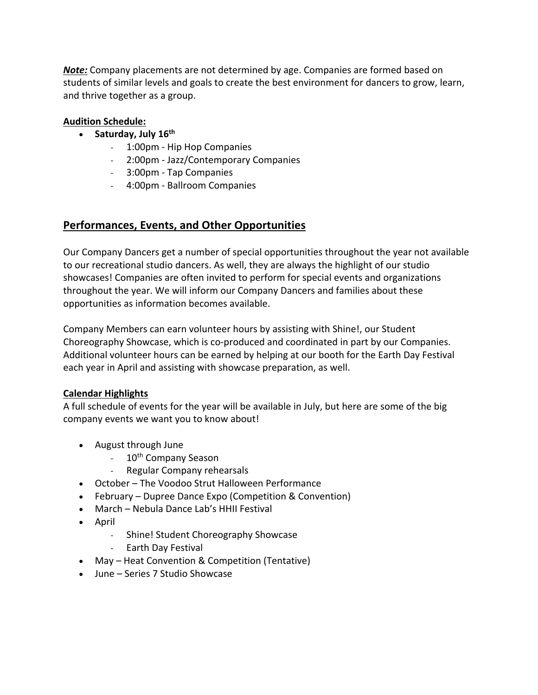*Note:* Company placements are not determined by age. Companies are formed based on students of similar levels and goals to create the best environment for dancers to grow, learn, and thrive together as a group.

#### **Audition Schedule:**

- **Saturday, July 16th**
	- 1:00pm Hip Hop Companies
	- 2:00pm Jazz/Contemporary Companies
	- 3:00pm Tap Companies
	- 4:00pm Ballroom Companies

## **Performances, Events, and Other Opportunities**

Our Company Dancers get a number of special opportunities throughout the year not available to our recreational studio dancers. As well, they are always the highlight of our studio showcases! Companies are often invited to perform for special events and organizations throughout the year. We will inform our Company Dancers and families about these opportunities as information becomes available.

Company Members can earn volunteer hours by assisting with Shine!, our Student Choreography Showcase, which is co-produced and coordinated in part by our Companies. Additional volunteer hours can be earned by helping at our booth for the Earth Day Festival each year in April and assisting with showcase preparation, as well.

#### **Calendar Highlights**

A full schedule of events for the year will be available in July, but here are some of the big company events we want you to know about!

- August through June
	- 10<sup>th</sup> Company Season
	- Regular Company rehearsals
- October The Voodoo Strut Halloween Performance
- February Dupree Dance Expo (Competition & Convention)
- March Nebula Dance Lab's HHII Festival
- April
	- Shine! Student Choreography Showcase
	- Earth Day Festival
- May Heat Convention & Competition (Tentative)
- June Series 7 Studio Showcase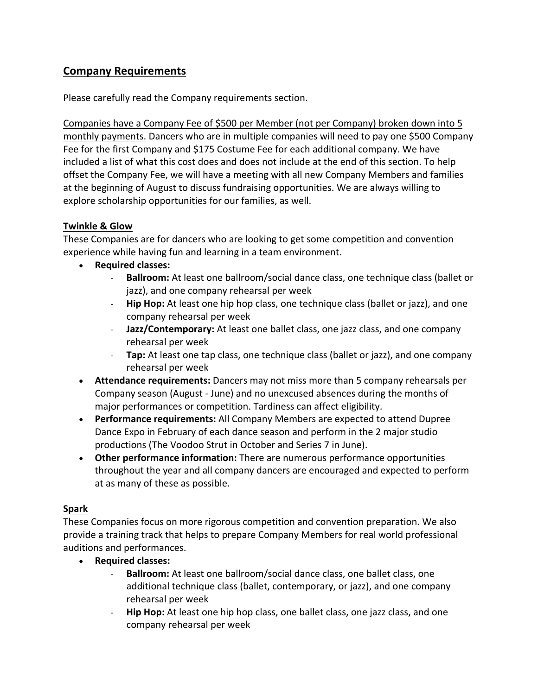# **Company Requirements**

Please carefully read the Company requirements section.

Companies have a Company Fee of \$500 per Member (not per Company) broken down into 5 monthly payments. Dancers who are in multiple companies will need to pay one \$500 Company Fee for the first Company and \$175 Costume Fee for each additional company. We have included a list of what this cost does and does not include at the end of this section. To help offset the Company Fee, we will have a meeting with all new Company Members and families at the beginning of August to discuss fundraising opportunities. We are always willing to explore scholarship opportunities for our families, as well.

#### **Twinkle & Glow**

These Companies are for dancers who are looking to get some competition and convention experience while having fun and learning in a team environment.

- **Required classes:**
	- **Ballroom:** At least one ballroom/social dance class, one technique class (ballet or jazz), and one company rehearsal per week
	- **Hip Hop:** At least one hip hop class, one technique class (ballet or jazz), and one company rehearsal per week
	- **Jazz/Contemporary:** At least one ballet class, one jazz class, and one company rehearsal per week
	- **Tap:** At least one tap class, one technique class (ballet or jazz), and one company rehearsal per week
- **Attendance requirements:** Dancers may not miss more than 5 company rehearsals per Company season (August - June) and no unexcused absences during the months of major performances or competition. Tardiness can affect eligibility.
- **Performance requirements:** All Company Members are expected to attend Dupree Dance Expo in February of each dance season and perform in the 2 major studio productions (The Voodoo Strut in October and Series 7 in June).
- **Other performance information:** There are numerous performance opportunities throughout the year and all company dancers are encouraged and expected to perform at as many of these as possible.

## **Spark**

These Companies focus on more rigorous competition and convention preparation. We also provide a training track that helps to prepare Company Members for real world professional auditions and performances.

- **Required classes:**
	- **Ballroom:** At least one ballroom/social dance class, one ballet class, one additional technique class (ballet, contemporary, or jazz), and one company rehearsal per week
	- **Hip Hop:** At least one hip hop class, one ballet class, one jazz class, and one company rehearsal per week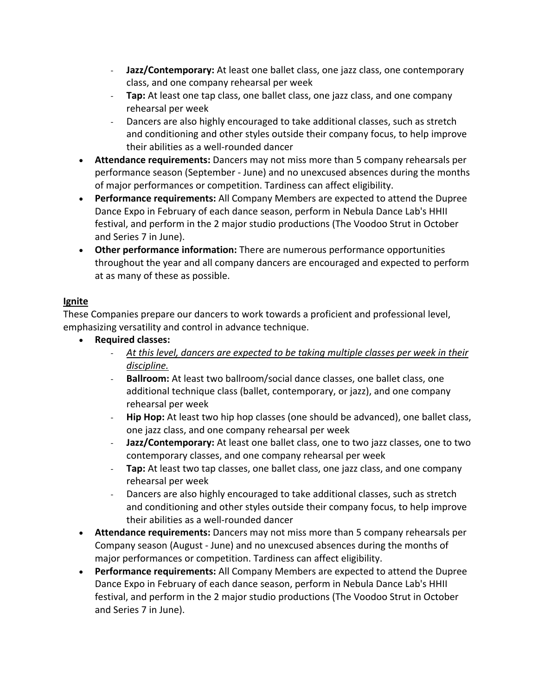- **Jazz/Contemporary:** At least one ballet class, one jazz class, one contemporary class, and one company rehearsal per week
- **Tap:** At least one tap class, one ballet class, one jazz class, and one company rehearsal per week
- Dancers are also highly encouraged to take additional classes, such as stretch and conditioning and other styles outside their company focus, to help improve their abilities as a well-rounded dancer
- **Attendance requirements:** Dancers may not miss more than 5 company rehearsals per performance season (September - June) and no unexcused absences during the months of major performances or competition. Tardiness can affect eligibility.
- **Performance requirements:** All Company Members are expected to attend the Dupree Dance Expo in February of each dance season, perform in Nebula Dance Lab's HHII festival, and perform in the 2 major studio productions (The Voodoo Strut in October and Series 7 in June).
- **Other performance information:** There are numerous performance opportunities throughout the year and all company dancers are encouraged and expected to perform at as many of these as possible.

## **Ignite**

These Companies prepare our dancers to work towards a proficient and professional level, emphasizing versatility and control in advance technique.

- **Required classes:**
	- *At this level, dancers are expected to be taking multiple classes per week in their discipline.*
	- **Ballroom:** At least two ballroom/social dance classes, one ballet class, one additional technique class (ballet, contemporary, or jazz), and one company rehearsal per week
	- **Hip Hop:** At least two hip hop classes (one should be advanced), one ballet class, one jazz class, and one company rehearsal per week
	- **Jazz/Contemporary:** At least one ballet class, one to two jazz classes, one to two contemporary classes, and one company rehearsal per week
	- **Tap:** At least two tap classes, one ballet class, one jazz class, and one company rehearsal per week
	- Dancers are also highly encouraged to take additional classes, such as stretch and conditioning and other styles outside their company focus, to help improve their abilities as a well-rounded dancer
- **Attendance requirements:** Dancers may not miss more than 5 company rehearsals per Company season (August - June) and no unexcused absences during the months of major performances or competition. Tardiness can affect eligibility.
- **Performance requirements:** All Company Members are expected to attend the Dupree Dance Expo in February of each dance season, perform in Nebula Dance Lab's HHII festival, and perform in the 2 major studio productions (The Voodoo Strut in October and Series 7 in June).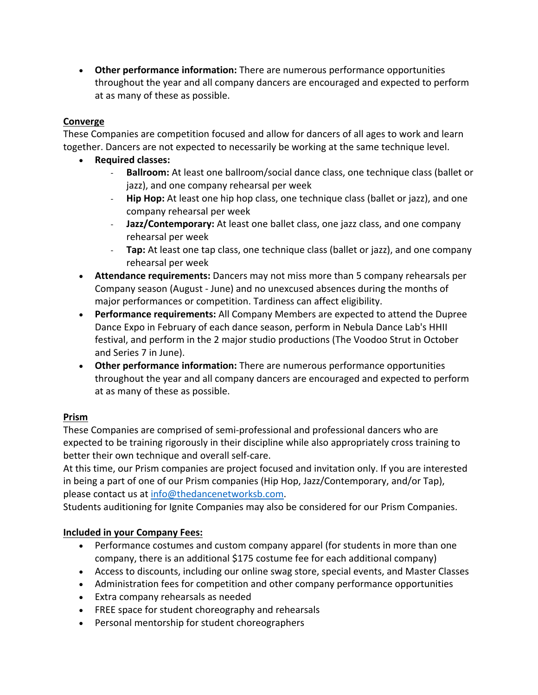• **Other performance information:** There are numerous performance opportunities throughout the year and all company dancers are encouraged and expected to perform at as many of these as possible.

### **Converge**

These Companies are competition focused and allow for dancers of all ages to work and learn together. Dancers are not expected to necessarily be working at the same technique level.

- **Required classes:**
	- **Ballroom:** At least one ballroom/social dance class, one technique class (ballet or jazz), and one company rehearsal per week
	- **Hip Hop:** At least one hip hop class, one technique class (ballet or jazz), and one company rehearsal per week
	- **Jazz/Contemporary:** At least one ballet class, one jazz class, and one company rehearsal per week
	- **Tap:** At least one tap class, one technique class (ballet or jazz), and one company rehearsal per week
- **Attendance requirements:** Dancers may not miss more than 5 company rehearsals per Company season (August - June) and no unexcused absences during the months of major performances or competition. Tardiness can affect eligibility.
- **Performance requirements:** All Company Members are expected to attend the Dupree Dance Expo in February of each dance season, perform in Nebula Dance Lab's HHII festival, and perform in the 2 major studio productions (The Voodoo Strut in October and Series 7 in June).
- **Other performance information:** There are numerous performance opportunities throughout the year and all company dancers are encouraged and expected to perform at as many of these as possible.

## **Prism**

These Companies are comprised of semi-professional and professional dancers who are expected to be training rigorously in their discipline while also appropriately cross training to better their own technique and overall self-care.

At this time, our Prism companies are project focused and invitation only. If you are interested in being a part of one of our Prism companies (Hip Hop, Jazz/Contemporary, and/or Tap), please contact us at info@thedancenetworksb.com.

Students auditioning for Ignite Companies may also be considered for our Prism Companies.

## **Included in your Company Fees:**

- Performance costumes and custom company apparel (for students in more than one company, there is an additional \$175 costume fee for each additional company)
- Access to discounts, including our online swag store, special events, and Master Classes
- Administration fees for competition and other company performance opportunities
- Extra company rehearsals as needed
- FREE space for student choreography and rehearsals
- Personal mentorship for student choreographers